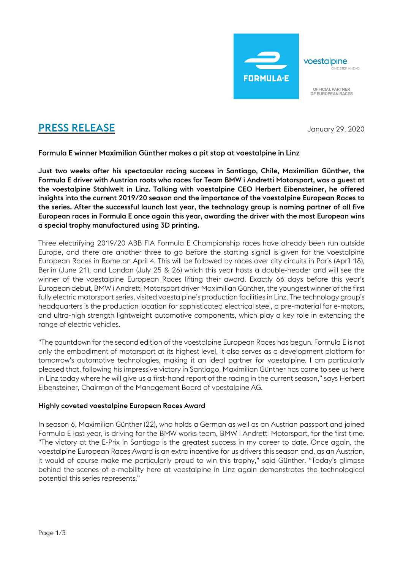

# **PRESS RELEASE** January 29, 2020

Formula E winner Maximilian Günther makes a pit stop at voestalpine in Linz

Just two weeks after his spectacular racing success in Santiago, Chile, Maximilian Günther, the Formula E driver with Austrian roots who races for Team BMW i Andretti Motorsport, was a guest at the voestalpine Stahlwelt in Linz. Talking with voestalpine CEO Herbert Eibensteiner, he offered insights into the current 2019/20 season and the importance of the voestalpine European Races to the series. After the successful launch last year, the technology group is naming partner of all five European races in Formula E once again this year, awarding the driver with the most European wins a special trophy manufactured using 3D printing.

Three electrifying 2019/20 ABB FIA Formula E Championship races have already been run outside Europe, and there are another three to go before the starting signal is given for the voestalpine European Races in Rome on April 4. This will be followed by races over city circuits in Paris (April 18), Berlin (June 21), and London (July 25 & 26) which this year hosts a double-header and will see the winner of the voestalpine European Races lifting their award. Exactly 66 days before this year's European debut, BMW i Andretti Motorsport driver Maximilian Günther, the youngest winner of the first fully electric motorsport series, visited voestalpine's production facilities in Linz. The technology group's headquarters is the production location for sophisticated electrical steel, a pre-material for e-motors, and ultra-high strength lightweight automotive components, which play a key role in extending the range of electric vehicles.

"The countdown for the second edition of the voestalpine European Races has begun. Formula E is not only the embodiment of motorsport at its highest level, it also serves as a development platform for tomorrow's automotive technologies, making it an ideal partner for voestalpine. I am particularly pleased that, following his impressive victory in Santiago, Maximilian Günther has come to see us here in Linz today where he will give us a first-hand report of the racing in the current season," says Herbert Eibensteiner, Chairman of the Management Board of voestalpine AG.

# Highly coveted voestalpine European Races Award

In season 6, Maximilian Günther (22), who holds a German as well as an Austrian passport and joined Formula E last year, is driving for the BMW works team, BMW i Andretti Motorsport, for the first time. "The victory at the E-Prix in Santiago is the greatest success in my career to date. Once again, the voestalpine European Races Award is an extra incentive for us drivers this season and, as an Austrian, it would of course make me particularly proud to win this trophy," said Günther. "Today's glimpse behind the scenes of e-mobility here at voestalpine in Linz again demonstrates the technological potential this series represents."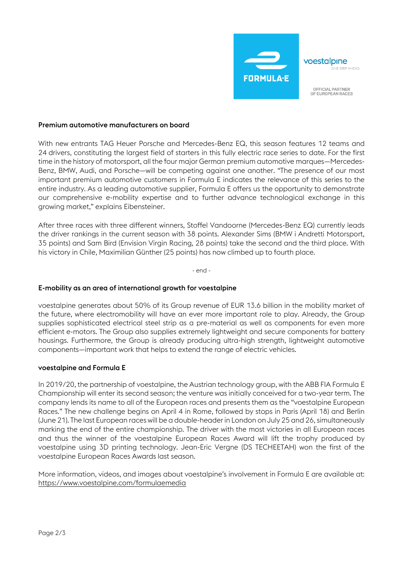

## Premium automotive manufacturers on board

With new entrants TAG Heuer Porsche and Mercedes-Benz EQ, this season features 12 teams and 24 drivers, constituting the largest field of starters in this fully electric race series to date. For the first time in the history of motorsport, all the four major German premium automotive marques—Mercedes-Benz, BMW, Audi, and Porsche—will be competing against one another. "The presence of our most important premium automotive customers in Formula E indicates the relevance of this series to the entire industry. As a leading automotive supplier, Formula E offers us the opportunity to demonstrate our comprehensive e-mobility expertise and to further advance technological exchange in this growing market," explains Eibensteiner.

After three races with three different winners, Stoffel Vandoorne (Mercedes-Benz EQ) currently leads the driver rankings in the current season with 38 points. Alexander Sims (BMW i Andretti Motorsport, 35 points) and Sam Bird (Envision Virgin Racing, 28 points) take the second and the third place. With his victory in Chile, Maximilian Günther (25 points) has now climbed up to fourth place.

- end -

#### E-mobility as an area of international growth for voestalpine

voestalpine generates about 50% of its Group revenue of EUR 13.6 billion in the mobility market of the future, where electromobility will have an ever more important role to play. Already, the Group supplies sophisticated electrical steel strip as a pre-material as well as components for even more efficient e-motors. The Group also supplies extremely lightweight and secure components for battery housings. Furthermore, the Group is already producing ultra-high strength, lightweight automotive components—important work that helps to extend the range of electric vehicles.

## voestalpine and Formula E

In 2019/20, the partnership of voestalpine, the Austrian technology group, with the ABB FIA Formula E Championship will enter its second season; the venture was initially conceived for a two-year term. The company lends its name to all of the European races and presents them as the "voestalpine European Races." The new challenge begins on April 4 in Rome, followed by stops in Paris (April 18) and Berlin (June 21). The last European races will be a double-header in London on July 25 and 26, simultaneously marking the end of the entire championship. The driver with the most victories in all European races and thus the winner of the voestalpine European Races Award will lift the trophy produced by voestalpine using 3D printing technology. Jean-Eric Vergne (DS TECHEETAH) won the first of the voestalpine European Races Awards last season.

More information, videos, and images about voestalpine's involvement in Formula E are available at: [https://www.voestalpine.com/formulaemedia](https://alexandraschieren.us14.list-manage.com/track/click?u=e87d2c5280ca6d6cb2e6be022&id=a6de129e75&e=d37470c980)